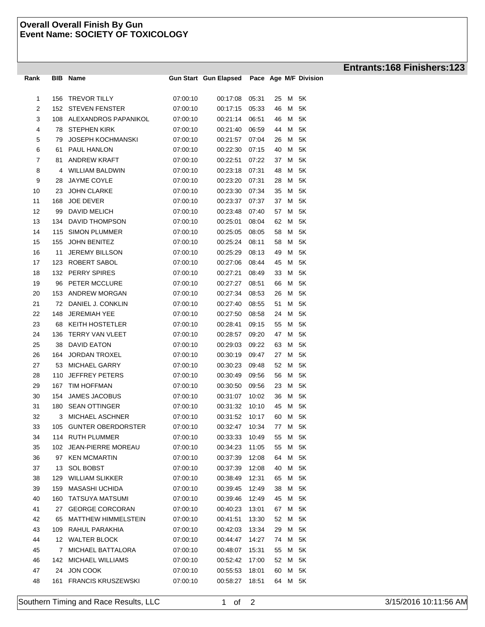## **Overall Overall Finish By Gun Event Name: SOCIETY OF TOXICOLOGY**

| Rank                | BIB        | Name                       |                      | <b>Gun Start Gun Elapsed</b> |                |          |      | Pace Age M/F Division |
|---------------------|------------|----------------------------|----------------------|------------------------------|----------------|----------|------|-----------------------|
|                     |            | <b>TREVOR TILLY</b>        | 07:00:10             |                              | 05:31          |          | М    | 5K                    |
| 1<br>$\overline{2}$ | 156<br>152 | <b>STEVEN FENSTER</b>      | 07:00:10             | 00:17:08<br>00:17:15         | 05:33          | 25<br>46 | М    | 5K                    |
| 3                   | 108        | ALEXANDROS PAPANIKOL       | 07:00:10             | 00:21:14                     | 06:51          | 46       | М    | 5K                    |
| 4                   | 78         | <b>STEPHEN KIRK</b>        | 07:00:10             | 00:21:40                     | 06:59          | 44       | м    | 5K                    |
|                     | 79         | <b>JOSEPH KOCHMANSKI</b>   | 07:00:10             | 00:21:57                     | 07:04          | 26       | м    | 5K                    |
| 5<br>6              | 61         | PAUL HANLON                | 07:00:10             |                              |                | 40       | м    | 5K                    |
| 7                   |            | ANDREW KRAFT               | 07:00:10             | 00:22:30                     | 07:15<br>07:22 |          | М    | 5K                    |
| 8                   | 81<br>4    | <b>WILLIAM BALDWIN</b>     | 07:00:10             | 00:22:51                     |                | 37<br>48 | M    | 5K                    |
| 9                   | 28         | <b>JAYME COYLE</b>         | 07:00:10             | 00:23:18<br>00:23:20         | 07:31<br>07:31 | 28       | м    | 5K                    |
| 10                  | 23         | <b>JOHN CLARKE</b>         | 07:00:10             | 00:23:30                     | 07:34          | 35       | M    | 5K                    |
| 11                  | 168        | <b>JOE DEVER</b>           | 07:00:10             | 00:23:37                     | 07:37          | 37       | м    | 5K                    |
| 12                  | 99         | DAVID MELICH               | 07:00:10             | 00:23:48                     | 07:40          | 57       | м    | 5K                    |
| 13                  | 134        | DAVID THOMPSON             | 07:00:10             | 00:25:01                     | 08:04          | 62       | M    | 5K                    |
| 14                  | 115        | <b>SIMON PLUMMER</b>       | 07:00:10             |                              |                | 58       | М    | 5K                    |
| 15                  |            | <b>JOHN BENITEZ</b>        | 07:00:10             | 00:25:05<br>00:25:24         | 08:05<br>08:11 | 58       | м    | 5K                    |
| 16                  | 155<br>11  | <b>JEREMY BILLSON</b>      |                      | 00:25:29                     | 08:13          | 49       | M    | 5K                    |
| 17                  | 123        | ROBERT SABOL               | 07:00:10<br>07:00:10 | 00:27:06                     | 08:44          | 45       | М    | 5K                    |
| 18                  | 132        | <b>PERRY SPIRES</b>        | 07:00:10             | 00:27:21                     | 08:49          | 33       | М    | 5K                    |
| 19                  | 96         | PETER MCCLURE              | 07:00:10             |                              | 08:51          | 66       | M    | 5K                    |
| 20                  | 153        | ANDREW MORGAN              | 07:00:10             | 00:27:27<br>00:27:34         | 08:53          | 26       | м    | 5K                    |
| 21                  | 72         | DANIEL J. CONKLIN          | 07:00:10             |                              | 08:55          | 51       | M    | 5K                    |
| 22                  | 148        | <b>JEREMIAH YEE</b>        | 07:00:10             | 00:27:40<br>00:27:50         | 08:58          | 24       | M    | 5K                    |
| 23                  | 68         | <b>KEITH HOSTETLER</b>     | 07:00:10             | 00:28:41                     | 09:15          | 55       | м    | 5K                    |
| 24                  | 136        | <b>TERRY VAN VLEET</b>     | 07:00:10             | 00:28:57                     | 09:20          | 47       | м    | 5K                    |
| 25                  | 38         | <b>DAVID EATON</b>         | 07:00:10             | 00:29:03                     | 09:22          | 63       | М    | 5K                    |
| 26                  | 164        | <b>JORDAN TROXEL</b>       | 07:00:10             |                              |                | 27       | м    | 5K                    |
| 27                  | 53         | MICHAEL GARRY              | 07:00:10             | 00:30:19<br>00:30:23         | 09:47<br>09:48 | 52       | м    | 5K                    |
| 28                  | 110        | <b>JEFFREY PETERS</b>      | 07:00:10             | 00:30:49                     | 09:56          | 56       | M    | 5K                    |
| 29                  | 167        | <b>TIM HOFFMAN</b>         | 07:00:10             | 00:30:50                     | 09:56          | 23       | М    | 5K                    |
| 30                  | 154        | JAMES JACOBUS              | 07:00:10             | 00:31:07                     | 10:02          | 36       | М    | 5K                    |
| 31                  | 180        | <b>SEAN OTTINGER</b>       | 07:00:10             | 00:31:32                     | 10:10          | 45       | М    | 5K                    |
| 32                  | 3          | <b>MICHAEL ASCHNER</b>     | 07:00:10             | 00:31:52                     | 10:17          | 60       | М    | 5K                    |
| 33                  |            | 105 GUNTER OBERDORSTER     | 07:00:10             | 00:32:47 10:34               |                |          | 77 M | 5K                    |
| 34                  |            | 114 RUTH PLUMMER           | 07:00:10             | 00:33:33                     | 10:49          | 55       | М    | 5K                    |
| 35                  | 102        | <b>JEAN-PIERRE MOREAU</b>  | 07:00:10             | 00:34:23                     | 11:05          | 55       | M    | 5K                    |
| 36                  | 97         | <b>KEN MCMARTIN</b>        | 07:00:10             | 00:37:39                     | 12:08          | 64       | M    | 5K                    |
| 37                  | 13         | <b>SOL BOBST</b>           | 07:00:10             | 00:37:39                     | 12:08          | 40       | М    | 5K                    |
| 38                  | 129        | <b>WILLIAM SLIKKER</b>     | 07:00:10             | 00:38:49                     | 12:31          | 65       | М    | 5K                    |
| 39                  | 159        | <b>MASASHI UCHIDA</b>      | 07:00:10             | 00:39:45                     | 12:49          | 38       | М    | 5K                    |
| 40                  | 160        | <b>TATSUYA MATSUMI</b>     | 07:00:10             | 00:39:46                     | 12:49          | 45       | M    | 5K                    |
| 41                  | 27         | <b>GEORGE CORCORAN</b>     | 07:00:10             | 00:40:23                     | 13:01          | 67       | M    | 5K                    |
| 42                  | 65         | <b>MATTHEW HIMMELSTEIN</b> | 07:00:10             | 00:41:51                     | 13:30          | 52       | М    | 5K                    |
| 43                  | 109        | RAHUL PARAKHIA             | 07:00:10             | 00:42:03                     | 13:34          | 29       | M    | 5K                    |
| 44                  |            | 12 WALTER BLOCK            | 07:00:10             | 00:44:47                     | 14:27          |          | M    | 5K                    |
| 45                  | 7          | <b>MICHAEL BATTALORA</b>   | 07:00:10             | 00:48:07                     | 15:31          | 74       | М    | 5K                    |
| 46                  | 142        | MICHAEL WILLIAMS           | 07:00:10             | 00:52:42                     | 17:00          | 55<br>52 | M    | 5K                    |
| 47                  | 24         | JON COOK                   | 07:00:10             | 00:55:53                     | 18:01          | 60       | M    | 5K                    |
| 48                  | 161        | <b>FRANCIS KRUSZEWSKI</b>  | 07:00:10             | 00:58:27                     | 18:51          | 64       |      | M 5K                  |
|                     |            |                            |                      |                              |                |          |      |                       |

## **Entrants:168 Finishers:123**